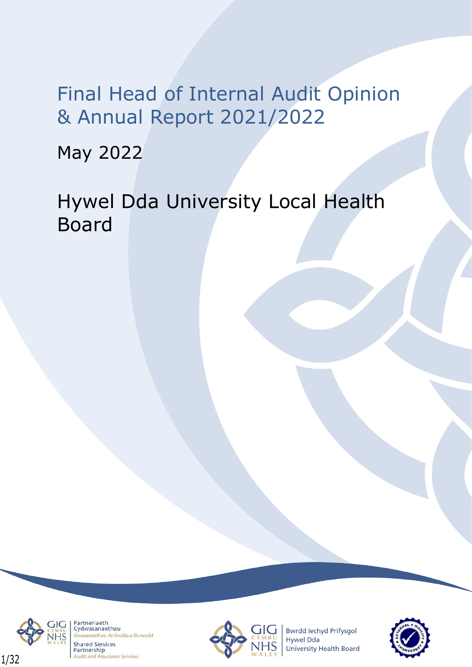Final Head of Internal Audit Opinion & Annual Report 2021/2022

May 2022

Hywel Dda University Local Health Board



Partneriaeth Cydwasanaethau naethau Archwilio a Sicrwydd **Shared Services** Partnership **Audit and Assurance Services** 



**Bwrdd lechyd Prifysgol** Hywel Dda University Health Board

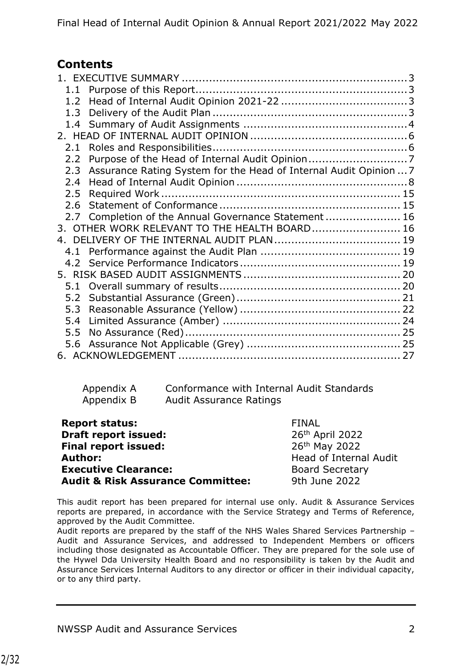## **Contents**

| 1.2 <sub>1</sub> |                                                                       |  |
|------------------|-----------------------------------------------------------------------|--|
|                  |                                                                       |  |
|                  |                                                                       |  |
|                  |                                                                       |  |
| 2.1              |                                                                       |  |
| $2.2^{\circ}$    |                                                                       |  |
|                  | 2.3 Assurance Rating System for the Head of Internal Audit Opinion  7 |  |
| 2.4              |                                                                       |  |
| 2.5              |                                                                       |  |
| 2.6              |                                                                       |  |
|                  | 2.7 Completion of the Annual Governance Statement 16                  |  |
|                  | 3. OTHER WORK RELEVANT TO THE HEALTH BOARD 16                         |  |
|                  |                                                                       |  |
|                  |                                                                       |  |
|                  |                                                                       |  |
|                  |                                                                       |  |
|                  |                                                                       |  |
| 5.2              |                                                                       |  |
| 5.3              |                                                                       |  |
| 5.4              |                                                                       |  |
| 5.5              |                                                                       |  |
|                  |                                                                       |  |
|                  |                                                                       |  |

Appendix A Conformance with Internal Audit Standards Appendix B Audit Assurance Ratings

| <b>Report status:</b>                        | <b>FINAL</b>           |
|----------------------------------------------|------------------------|
| <b>Draft report issued:</b>                  | 26th April 2022        |
| <b>Final report issued:</b>                  | 26th May 2022          |
| <b>Author:</b>                               | Head of Internal Audit |
| <b>Executive Clearance:</b>                  | <b>Board Secretary</b> |
| <b>Audit &amp; Risk Assurance Committee:</b> | 9th June 2022          |

This audit report has been prepared for internal use only. Audit & Assurance Services reports are prepared, in accordance with the Service Strategy and Terms of Reference, approved by the Audit Committee.

Audit reports are prepared by the staff of the NHS Wales Shared Services Partnership – Audit and Assurance Services, and addressed to Independent Members or officers including those designated as Accountable Officer. They are prepared for the sole use of the Hywel Dda University Health Board and no responsibility is taken by the Audit and Assurance Services Internal Auditors to any director or officer in their individual capacity, or to any third party.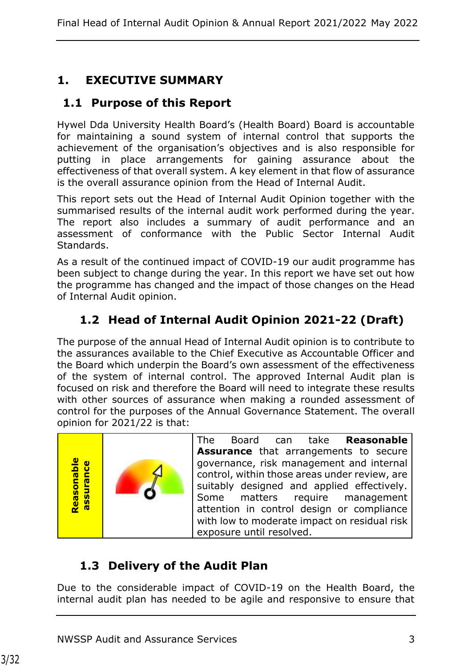## <span id="page-2-0"></span>**1. EXECUTIVE SUMMARY**

## <span id="page-2-1"></span>**1.1 Purpose of this Report**

Hywel Dda University Health Board's (Health Board) Board is accountable for maintaining a sound system of internal control that supports the achievement of the organisation's objectives and is also responsible for putting in place arrangements for gaining assurance about the effectiveness of that overall system. A key element in that flow of assurance is the overall assurance opinion from the Head of Internal Audit.

This report sets out the Head of Internal Audit Opinion together with the summarised results of the internal audit work performed during the year. The report also includes a summary of audit performance and an assessment of conformance with the Public Sector Internal Audit Standards.

As a result of the continued impact of COVID-19 our audit programme has been subject to change during the year. In this report we have set out how the programme has changed and the impact of those changes on the Head of Internal Audit opinion.

## <span id="page-2-2"></span>**1.2 Head of Internal Audit Opinion 2021-22 (Draft)**

The purpose of the annual Head of Internal Audit opinion is to contribute to the assurances available to the Chief Executive as Accountable Officer and the Board which underpin the Board's own assessment of the effectiveness of the system of internal control. The approved Internal Audit plan is focused on risk and therefore the Board will need to integrate these results with other sources of assurance when making a rounded assessment of control for the purposes of the Annual Governance Statement. The overall opinion for 2021/22 is that:



The Board can take **Reasonable Assurance** that arrangements to secure governance, risk management and internal control, within those areas under review, are suitably designed and applied effectively. Some matters require management attention in control design or compliance with low to moderate impact on residual risk exposure until resolved.

# <span id="page-2-3"></span>**1.3 Delivery of the Audit Plan**

Due to the considerable impact of COVID-19 on the Health Board, the internal audit plan has needed to be agile and responsive to ensure that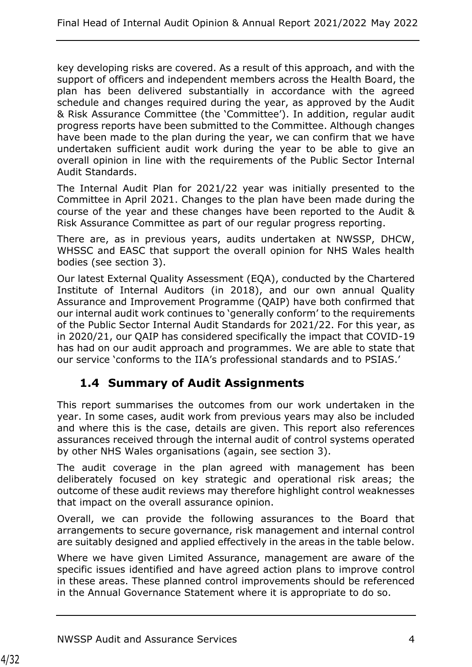key developing risks are covered. As a result of this approach, and with the support of officers and independent members across the Health Board, the plan has been delivered substantially in accordance with the agreed schedule and changes required during the year, as approved by the Audit & Risk Assurance Committee (the 'Committee'). In addition, regular audit progress reports have been submitted to the Committee. Although changes have been made to the plan during the year, we can confirm that we have undertaken sufficient audit work during the year to be able to give an overall opinion in line with the requirements of the Public Sector Internal Audit Standards.

The Internal Audit Plan for 2021/22 year was initially presented to the Committee in April 2021. Changes to the plan have been made during the course of the year and these changes have been reported to the Audit & Risk Assurance Committee as part of our regular progress reporting.

There are, as in previous years, audits undertaken at NWSSP, DHCW, WHSSC and EASC that support the overall opinion for NHS Wales health bodies (see section 3).

Our latest External Quality Assessment (EQA), conducted by the Chartered Institute of Internal Auditors (in 2018), and our own annual Quality Assurance and Improvement Programme (QAIP) have both confirmed that our internal audit work continues to 'generally conform' to the requirements of the Public Sector Internal Audit Standards for 2021/22. For this year, as in 2020/21, our QAIP has considered specifically the impact that COVID-19 has had on our audit approach and programmes. We are able to state that our service 'conforms to the IIA's professional standards and to PSIAS.'

## <span id="page-3-0"></span>**1.4 Summary of Audit Assignments**

This report summarises the outcomes from our work undertaken in the year. In some cases, audit work from previous years may also be included and where this is the case, details are given. This report also references assurances received through the internal audit of control systems operated by other NHS Wales organisations (again, see section 3).

The audit coverage in the plan agreed with management has been deliberately focused on key strategic and operational risk areas; the outcome of these audit reviews may therefore highlight control weaknesses that impact on the overall assurance opinion.

Overall, we can provide the following assurances to the Board that arrangements to secure governance, risk management and internal control are suitably designed and applied effectively in the areas in the table below.

Where we have given Limited Assurance, management are aware of the specific issues identified and have agreed action plans to improve control in these areas. These planned control improvements should be referenced in the Annual Governance Statement where it is appropriate to do so.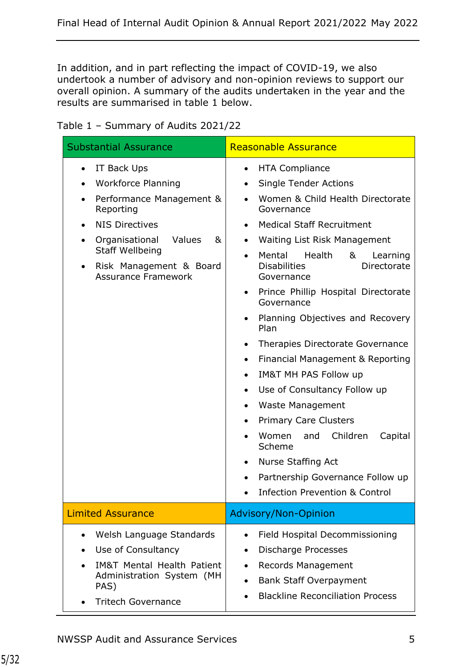In addition, and in part reflecting the impact of COVID-19, we also undertook a number of advisory and non-opinion reviews to support our overall opinion. A summary of the audits undertaken in the year and the results are summarised in table 1 below.

Table 1 – Summary of Audits 2021/22

| <b>Substantial Assurance</b>                                                                                                                                                                                                                             | <b>Reasonable Assurance</b>                                                                                                                                                                                                                                                                                                                                                                                                                                                                                                                                                                                                                                                                                                                                                                                                                                                                                                           |  |  |
|----------------------------------------------------------------------------------------------------------------------------------------------------------------------------------------------------------------------------------------------------------|---------------------------------------------------------------------------------------------------------------------------------------------------------------------------------------------------------------------------------------------------------------------------------------------------------------------------------------------------------------------------------------------------------------------------------------------------------------------------------------------------------------------------------------------------------------------------------------------------------------------------------------------------------------------------------------------------------------------------------------------------------------------------------------------------------------------------------------------------------------------------------------------------------------------------------------|--|--|
| IT Back Ups<br><b>Workforce Planning</b><br>Performance Management &<br>Reporting<br><b>NIS Directives</b><br>Values<br>Organisational<br>&<br>$\bullet$<br><b>Staff Wellbeing</b><br>Risk Management & Board<br>$\bullet$<br><b>Assurance Framework</b> | <b>HTA Compliance</b><br>$\bullet$<br><b>Single Tender Actions</b><br>$\bullet$<br>Women & Child Health Directorate<br>$\bullet$<br>Governance<br><b>Medical Staff Recruitment</b><br>$\bullet$<br>Waiting List Risk Management<br>$\bullet$<br>Mental<br>Health<br>&<br>Learning<br>$\bullet$<br><b>Disabilities</b><br>Directorate<br>Governance<br>Prince Phillip Hospital Directorate<br>$\bullet$<br>Governance<br>Planning Objectives and Recovery<br>$\bullet$<br>Plan<br>Therapies Directorate Governance<br>$\bullet$<br>Financial Management & Reporting<br>$\bullet$<br><b>IM&amp;T MH PAS Follow up</b><br>$\bullet$<br>Use of Consultancy Follow up<br>$\bullet$<br>Waste Management<br>٠<br><b>Primary Care Clusters</b><br>$\bullet$<br>Children<br>Women<br>and<br>Capital<br>$\bullet$<br>Scheme<br>Nurse Staffing Act<br>$\bullet$<br>Partnership Governance Follow up<br><b>Infection Prevention &amp; Control</b> |  |  |
| <b>Limited Assurance</b>                                                                                                                                                                                                                                 | <b>Advisory/Non-Opinion</b>                                                                                                                                                                                                                                                                                                                                                                                                                                                                                                                                                                                                                                                                                                                                                                                                                                                                                                           |  |  |
| Welsh Language Standards<br>$\bullet$<br>Use of Consultancy<br>$\bullet$<br><b>IM&amp;T Mental Health Patient</b><br>Administration System (MH<br>PAS)<br><b>Tritech Governance</b>                                                                      | Field Hospital Decommissioning<br>$\bullet$<br><b>Discharge Processes</b><br>٠<br>Records Management<br><b>Bank Staff Overpayment</b><br>$\bullet$<br><b>Blackline Reconciliation Process</b>                                                                                                                                                                                                                                                                                                                                                                                                                                                                                                                                                                                                                                                                                                                                         |  |  |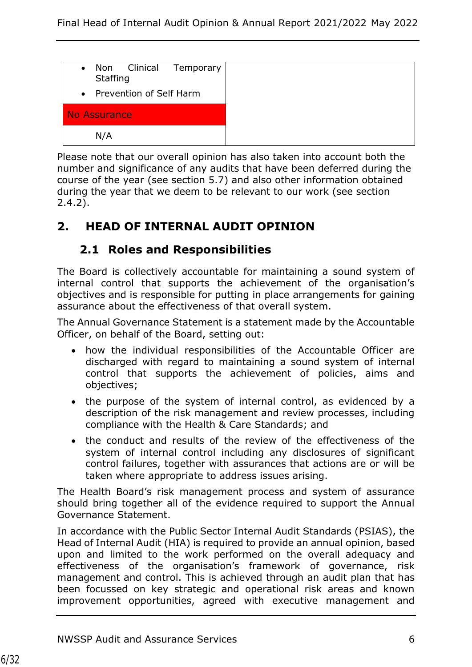

Please note that our overall opinion has also taken into account both the number and significance of any audits that have been deferred during the course of the year (see section 5.7) and also other information obtained during the year that we deem to be relevant to our work (see section 2.4.2).

## <span id="page-5-0"></span>**2. HEAD OF INTERNAL AUDIT OPINION**

### **2.1 Roles and Responsibilities**

<span id="page-5-1"></span>The Board is collectively accountable for maintaining a sound system of internal control that supports the achievement of the organisation's objectives and is responsible for putting in place arrangements for gaining assurance about the effectiveness of that overall system.

The Annual Governance Statement is a statement made by the Accountable Officer, on behalf of the Board, setting out:

- how the individual responsibilities of the Accountable Officer are discharged with regard to maintaining a sound system of internal control that supports the achievement of policies, aims and objectives;
- the purpose of the system of internal control, as evidenced by a description of the risk management and review processes, including compliance with the Health & Care Standards; and
- the conduct and results of the review of the effectiveness of the system of internal control including any disclosures of significant control failures, together with assurances that actions are or will be taken where appropriate to address issues arising.

The Health Board's risk management process and system of assurance should bring together all of the evidence required to support the Annual Governance Statement.

In accordance with the Public Sector Internal Audit Standards (PSIAS), the Head of Internal Audit (HIA) is required to provide an annual opinion, based upon and limited to the work performed on the overall adequacy and effectiveness of the organisation's framework of governance, risk management and control. This is achieved through an audit plan that has been focussed on key strategic and operational risk areas and known improvement opportunities, agreed with executive management and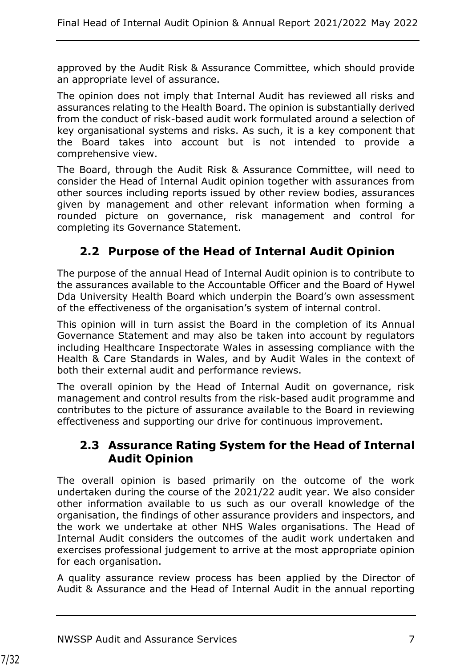approved by the Audit Risk & Assurance Committee, which should provide an appropriate level of assurance.

The opinion does not imply that Internal Audit has reviewed all risks and assurances relating to the Health Board. The opinion is substantially derived from the conduct of risk-based audit work formulated around a selection of key organisational systems and risks. As such, it is a key component that the Board takes into account but is not intended to provide a comprehensive view.

The Board, through the Audit Risk & Assurance Committee, will need to consider the Head of Internal Audit opinion together with assurances from other sources including reports issued by other review bodies, assurances given by management and other relevant information when forming a rounded picture on governance, risk management and control for completing its Governance Statement.

## <span id="page-6-0"></span>**2.2 Purpose of the Head of Internal Audit Opinion**

The purpose of the annual Head of Internal Audit opinion is to contribute to the assurances available to the Accountable Officer and the Board of Hywel Dda University Health Board which underpin the Board's own assessment of the effectiveness of the organisation's system of internal control.

This opinion will in turn assist the Board in the completion of its Annual Governance Statement and may also be taken into account by regulators including Healthcare Inspectorate Wales in assessing compliance with the Health & Care Standards in Wales, and by Audit Wales in the context of both their external audit and performance reviews.

The overall opinion by the Head of Internal Audit on governance, risk management and control results from the risk-based audit programme and contributes to the picture of assurance available to the Board in reviewing effectiveness and supporting our drive for continuous improvement.

### <span id="page-6-1"></span>**2.3 Assurance Rating System for the Head of Internal Audit Opinion**

The overall opinion is based primarily on the outcome of the work undertaken during the course of the 2021/22 audit year. We also consider other information available to us such as our overall knowledge of the organisation, the findings of other assurance providers and inspectors, and the work we undertake at other NHS Wales organisations. The Head of Internal Audit considers the outcomes of the audit work undertaken and exercises professional judgement to arrive at the most appropriate opinion for each organisation.

A quality assurance review process has been applied by the Director of Audit & Assurance and the Head of Internal Audit in the annual reporting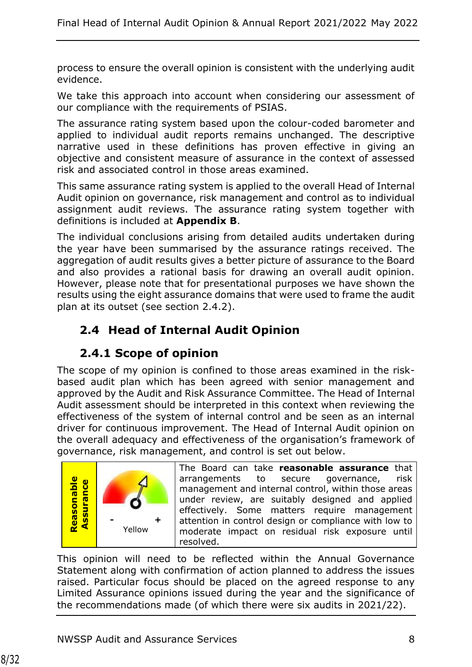process to ensure the overall opinion is consistent with the underlying audit evidence.

We take this approach into account when considering our assessment of our compliance with the requirements of PSIAS.

The assurance rating system based upon the colour-coded barometer and applied to individual audit reports remains unchanged. The descriptive narrative used in these definitions has proven effective in giving an objective and consistent measure of assurance in the context of assessed risk and associated control in those areas examined.

This same assurance rating system is applied to the overall Head of Internal Audit opinion on governance, risk management and control as to individual assignment audit reviews. The assurance rating system together with definitions is included at **Appendix B**.

The individual conclusions arising from detailed audits undertaken during the year have been summarised by the assurance ratings received. The aggregation of audit results gives a better picture of assurance to the Board and also provides a rational basis for drawing an overall audit opinion. However, please note that for presentational purposes we have shown the results using the eight assurance domains that were used to frame the audit plan at its outset (see section 2.4.2).

# <span id="page-7-0"></span>**2.4 Head of Internal Audit Opinion**

## **2.4.1 Scope of opinion**

The scope of my opinion is confined to those areas examined in the riskbased audit plan which has been agreed with senior management and approved by the Audit and Risk Assurance Committee. The Head of Internal Audit assessment should be interpreted in this context when reviewing the effectiveness of the system of internal control and be seen as an internal driver for continuous improvement. The Head of Internal Audit opinion on the overall adequacy and effectiveness of the organisation's framework of governance, risk management, and control is set out below.



The Board can take **reasonable assurance** that arrangements to secure governance, risk management and internal control, within those areas under review, are suitably designed and applied effectively. Some matters require management attention in control design or compliance with low to moderate impact on residual risk exposure until resolved.

This opinion will need to be reflected within the Annual Governance Statement along with confirmation of action planned to address the issues raised. Particular focus should be placed on the agreed response to any Limited Assurance opinions issued during the year and the significance of the recommendations made (of which there were six audits in 2021/22).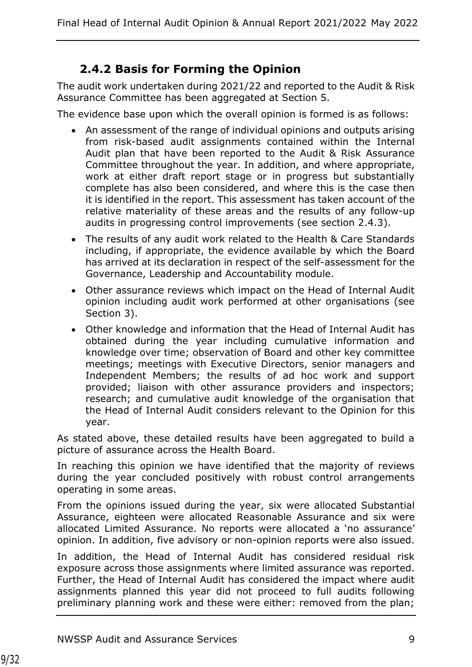## **2.4.2 Basis for Forming the Opinion**

The audit work undertaken during 2021/22 and reported to the Audit & Risk Assurance Committee has been aggregated at Section 5.

The evidence base upon which the overall opinion is formed is as follows:

- An assessment of the range of individual opinions and outputs arising from risk-based audit assignments contained within the Internal Audit plan that have been reported to the Audit & Risk Assurance Committee throughout the year. In addition, and where appropriate, work at either draft report stage or in progress but substantially complete has also been considered, and where this is the case then it is identified in the report. This assessment has taken account of the relative materiality of these areas and the results of any follow-up audits in progressing control improvements (see section 2.4.3).
- The results of any audit work related to the Health & Care Standards including, if appropriate, the evidence available by which the Board has arrived at its declaration in respect of the self-assessment for the Governance, Leadership and Accountability module.
- Other assurance reviews which impact on the Head of Internal Audit opinion including audit work performed at other organisations (see Section 3).
- Other knowledge and information that the Head of Internal Audit has obtained during the year including cumulative information and knowledge over time; observation of Board and other key committee meetings; meetings with Executive Directors, senior managers and Independent Members; the results of ad hoc work and support provided; liaison with other assurance providers and inspectors; research; and cumulative audit knowledge of the organisation that the Head of Internal Audit considers relevant to the Opinion for this year.

As stated above, these detailed results have been aggregated to build a picture of assurance across the Health Board.

In reaching this opinion we have identified that the majority of reviews during the year concluded positively with robust control arrangements operating in some areas.

From the opinions issued during the year, six were allocated Substantial Assurance, eighteen were allocated Reasonable Assurance and six were allocated Limited Assurance. No reports were allocated a 'no assurance' opinion. In addition, five advisory or non-opinion reports were also issued.

In addition, the Head of Internal Audit has considered residual risk exposure across those assignments where limited assurance was reported. Further, the Head of Internal Audit has considered the impact where audit assignments planned this year did not proceed to full audits following preliminary planning work and these were either: removed from the plan;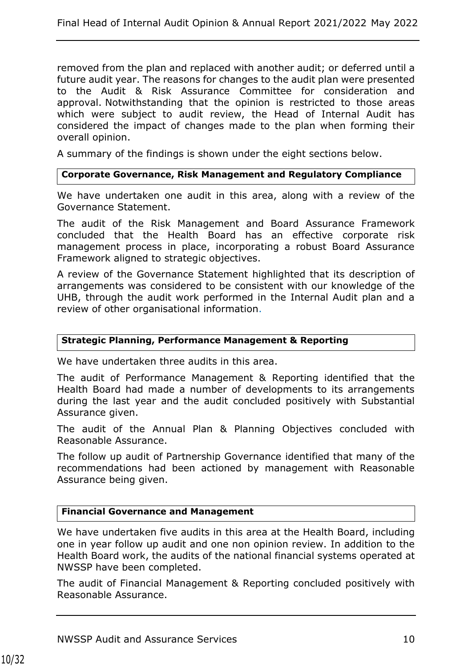removed from the plan and replaced with another audit; or deferred until a future audit year. The reasons for changes to the audit plan were presented to the Audit & Risk Assurance Committee for consideration and approval. Notwithstanding that the opinion is restricted to those areas which were subject to audit review, the Head of Internal Audit has considered the impact of changes made to the plan when forming their overall opinion.

A summary of the findings is shown under the eight sections below.

#### **Corporate Governance, Risk Management and Regulatory Compliance**

We have undertaken one audit in this area, along with a review of the Governance Statement.

The audit of the Risk Management and Board Assurance Framework concluded that the Health Board has an effective corporate risk management process in place, incorporating a robust Board Assurance Framework aligned to strategic objectives.

A review of the Governance Statement highlighted that its description of arrangements was considered to be consistent with our knowledge of the UHB, through the audit work performed in the Internal Audit plan and a review of other organisational information.

#### **Strategic Planning, Performance Management & Reporting**

We have undertaken three audits in this area.

The audit of Performance Management & Reporting identified that the Health Board had made a number of developments to its arrangements during the last year and the audit concluded positively with Substantial Assurance given.

The audit of the Annual Plan & Planning Objectives concluded with Reasonable Assurance.

The follow up audit of Partnership Governance identified that many of the recommendations had been actioned by management with Reasonable Assurance being given.

#### **Financial Governance and Management**

We have undertaken five audits in this area at the Health Board, including one in year follow up audit and one non opinion review. In addition to the Health Board work, the audits of the national financial systems operated at NWSSP have been completed.

The audit of Financial Management & Reporting concluded positively with Reasonable Assurance.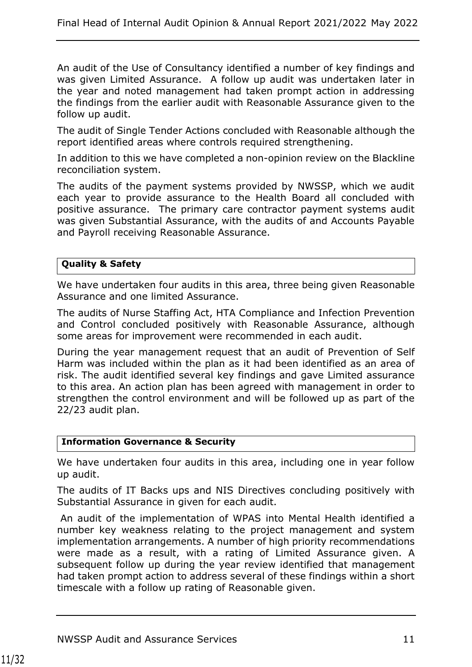An audit of the Use of Consultancy identified a number of key findings and was given Limited Assurance. A follow up audit was undertaken later in the year and noted management had taken prompt action in addressing the findings from the earlier audit with Reasonable Assurance given to the follow up audit.

The audit of Single Tender Actions concluded with Reasonable although the report identified areas where controls required strengthening.

In addition to this we have completed a non-opinion review on the Blackline reconciliation system.

The audits of the payment systems provided by NWSSP, which we audit each year to provide assurance to the Health Board all concluded with positive assurance. The primary care contractor payment systems audit was given Substantial Assurance, with the audits of and Accounts Payable and Payroll receiving Reasonable Assurance.

#### **Quality & Safety**

We have undertaken four audits in this area, three being given Reasonable Assurance and one limited Assurance.

The audits of Nurse Staffing Act, HTA Compliance and Infection Prevention and Control concluded positively with Reasonable Assurance, although some areas for improvement were recommended in each audit.

During the year management request that an audit of Prevention of Self Harm was included within the plan as it had been identified as an area of risk. The audit identified several key findings and gave Limited assurance to this area. An action plan has been agreed with management in order to strengthen the control environment and will be followed up as part of the 22/23 audit plan.

#### **Information Governance & Security**

We have undertaken four audits in this area, including one in year follow up audit.

The audits of IT Backs ups and NIS Directives concluding positively with Substantial Assurance in given for each audit.

An audit of the implementation of WPAS into Mental Health identified a number key weakness relating to the project management and system implementation arrangements. A number of high priority recommendations were made as a result, with a rating of Limited Assurance given. A subsequent follow up during the year review identified that management had taken prompt action to address several of these findings within a short timescale with a follow up rating of Reasonable given.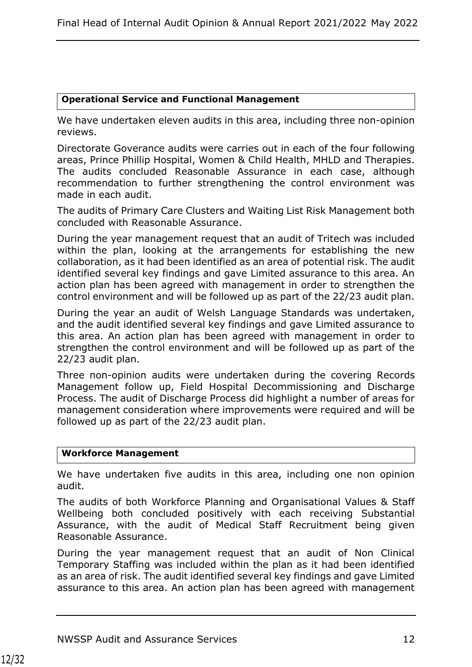#### **Operational Service and Functional Management**

We have undertaken eleven audits in this area, including three non-opinion reviews.

Directorate Goverance audits were carries out in each of the four following areas, Prince Phillip Hospital, Women & Child Health, MHLD and Therapies. The audits concluded Reasonable Assurance in each case, although recommendation to further strengthening the control environment was made in each audit.

The audits of Primary Care Clusters and Waiting List Risk Management both concluded with Reasonable Assurance.

During the year management request that an audit of Tritech was included within the plan, looking at the arrangements for establishing the new collaboration, as it had been identified as an area of potential risk. The audit identified several key findings and gave Limited assurance to this area. An action plan has been agreed with management in order to strengthen the control environment and will be followed up as part of the 22/23 audit plan.

During the year an audit of Welsh Language Standards was undertaken, and the audit identified several key findings and gave Limited assurance to this area. An action plan has been agreed with management in order to strengthen the control environment and will be followed up as part of the 22/23 audit plan.

Three non-opinion audits were undertaken during the covering Records Management follow up, Field Hospital Decommissioning and Discharge Process. The audit of Discharge Process did highlight a number of areas for management consideration where improvements were required and will be followed up as part of the 22/23 audit plan.

#### **Workforce Management**

We have undertaken five audits in this area, including one non opinion audit.

The audits of both Workforce Planning and Organisational Values & Staff Wellbeing both concluded positively with each receiving Substantial Assurance, with the audit of Medical Staff Recruitment being given Reasonable Assurance.

During the year management request that an audit of Non Clinical Temporary Staffing was included within the plan as it had been identified as an area of risk. The audit identified several key findings and gave Limited assurance to this area. An action plan has been agreed with management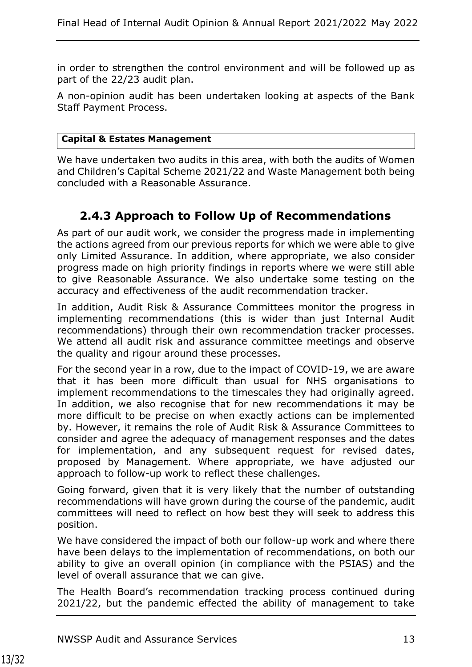in order to strengthen the control environment and will be followed up as part of the 22/23 audit plan.

A non-opinion audit has been undertaken looking at aspects of the Bank Staff Payment Process.

#### **Capital & Estates Management**

We have undertaken two audits in this area, with both the audits of Women and Children's Capital Scheme 2021/22 and Waste Management both being concluded with a Reasonable Assurance.

### **2.4.3 Approach to Follow Up of Recommendations**

As part of our audit work, we consider the progress made in implementing the actions agreed from our previous reports for which we were able to give only Limited Assurance. In addition, where appropriate, we also consider progress made on high priority findings in reports where we were still able to give Reasonable Assurance. We also undertake some testing on the accuracy and effectiveness of the audit recommendation tracker.

In addition, Audit Risk & Assurance Committees monitor the progress in implementing recommendations (this is wider than just Internal Audit recommendations) through their own recommendation tracker processes. We attend all audit risk and assurance committee meetings and observe the quality and rigour around these processes.

For the second year in a row, due to the impact of COVID-19, we are aware that it has been more difficult than usual for NHS organisations to implement recommendations to the timescales they had originally agreed. In addition, we also recognise that for new recommendations it may be more difficult to be precise on when exactly actions can be implemented by. However, it remains the role of Audit Risk & Assurance Committees to consider and agree the adequacy of management responses and the dates for implementation, and any subsequent request for revised dates, proposed by Management. Where appropriate, we have adjusted our approach to follow-up work to reflect these challenges.

Going forward, given that it is very likely that the number of outstanding recommendations will have grown during the course of the pandemic, audit committees will need to reflect on how best they will seek to address this position.

We have considered the impact of both our follow-up work and where there have been delays to the implementation of recommendations, on both our ability to give an overall opinion (in compliance with the PSIAS) and the level of overall assurance that we can give.

The Health Board's recommendation tracking process continued during 2021/22, but the pandemic effected the ability of management to take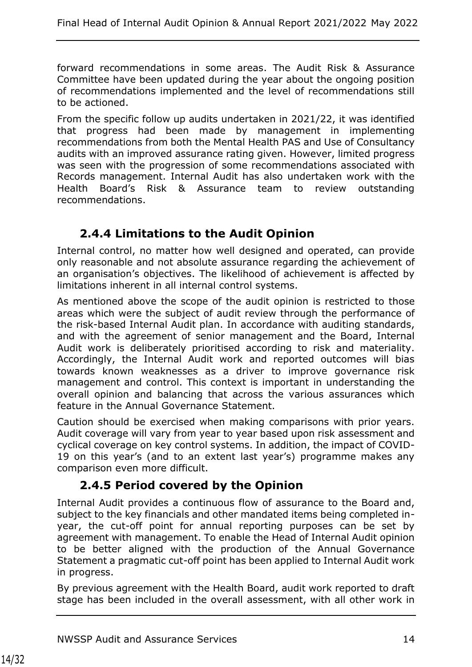forward recommendations in some areas. The Audit Risk & Assurance Committee have been updated during the year about the ongoing position of recommendations implemented and the level of recommendations still to be actioned.

From the specific follow up audits undertaken in 2021/22, it was identified that progress had been made by management in implementing recommendations from both the Mental Health PAS and Use of Consultancy audits with an improved assurance rating given. However, limited progress was seen with the progression of some recommendations associated with Records management. Internal Audit has also undertaken work with the Health Board's Risk & Assurance team to review outstanding recommendations.

## **2.4.4 Limitations to the Audit Opinion**

Internal control, no matter how well designed and operated, can provide only reasonable and not absolute assurance regarding the achievement of an organisation's objectives. The likelihood of achievement is affected by limitations inherent in all internal control systems.

As mentioned above the scope of the audit opinion is restricted to those areas which were the subject of audit review through the performance of the risk-based Internal Audit plan. In accordance with auditing standards, and with the agreement of senior management and the Board, Internal Audit work is deliberately prioritised according to risk and materiality. Accordingly, the Internal Audit work and reported outcomes will bias towards known weaknesses as a driver to improve governance risk management and control. This context is important in understanding the overall opinion and balancing that across the various assurances which feature in the Annual Governance Statement.

Caution should be exercised when making comparisons with prior years. Audit coverage will vary from year to year based upon risk assessment and cyclical coverage on key control systems. In addition, the impact of COVID-19 on this year's (and to an extent last year's) programme makes any comparison even more difficult.

## **2.4.5 Period covered by the Opinion**

Internal Audit provides a continuous flow of assurance to the Board and, subject to the key financials and other mandated items being completed inyear, the cut-off point for annual reporting purposes can be set by agreement with management. To enable the Head of Internal Audit opinion to be better aligned with the production of the Annual Governance Statement a pragmatic cut-off point has been applied to Internal Audit work in progress.

By previous agreement with the Health Board, audit work reported to draft stage has been included in the overall assessment, with all other work in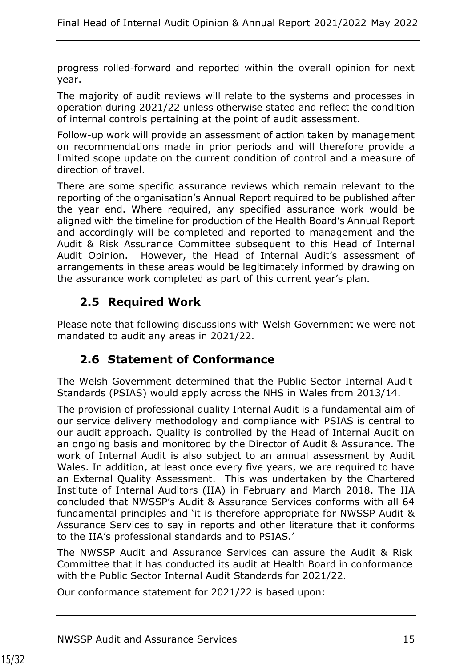progress rolled-forward and reported within the overall opinion for next year.

The majority of audit reviews will relate to the systems and processes in operation during 2021/22 unless otherwise stated and reflect the condition of internal controls pertaining at the point of audit assessment.

Follow-up work will provide an assessment of action taken by management on recommendations made in prior periods and will therefore provide a limited scope update on the current condition of control and a measure of direction of travel.

There are some specific assurance reviews which remain relevant to the reporting of the organisation's Annual Report required to be published after the year end. Where required, any specified assurance work would be aligned with the timeline for production of the Health Board's Annual Report and accordingly will be completed and reported to management and the Audit & Risk Assurance Committee subsequent to this Head of Internal Audit Opinion. However, the Head of Internal Audit's assessment of arrangements in these areas would be legitimately informed by drawing on the assurance work completed as part of this current year's plan.

## <span id="page-14-0"></span>**2.5 Required Work**

Please note that following discussions with Welsh Government we were not mandated to audit any areas in 2021/22.

## <span id="page-14-1"></span>**2.6 Statement of Conformance**

The Welsh Government determined that the Public Sector Internal Audit Standards (PSIAS) would apply across the NHS in Wales from 2013/14.

The provision of professional quality Internal Audit is a fundamental aim of our service delivery methodology and compliance with PSIAS is central to our audit approach. Quality is controlled by the Head of Internal Audit on an ongoing basis and monitored by the Director of Audit & Assurance. The work of Internal Audit is also subject to an annual assessment by Audit Wales. In addition, at least once every five years, we are required to have an External Quality Assessment. This was undertaken by the Chartered Institute of Internal Auditors (IIA) in February and March 2018. The IIA concluded that NWSSP's Audit & Assurance Services conforms with all 64 fundamental principles and 'it is therefore appropriate for NWSSP Audit & Assurance Services to say in reports and other literature that it conforms to the IIA's professional standards and to PSIAS.'

The NWSSP Audit and Assurance Services can assure the Audit & Risk Committee that it has conducted its audit at Health Board in conformance with the Public Sector Internal Audit Standards for 2021/22.

Our conformance statement for 2021/22 is based upon: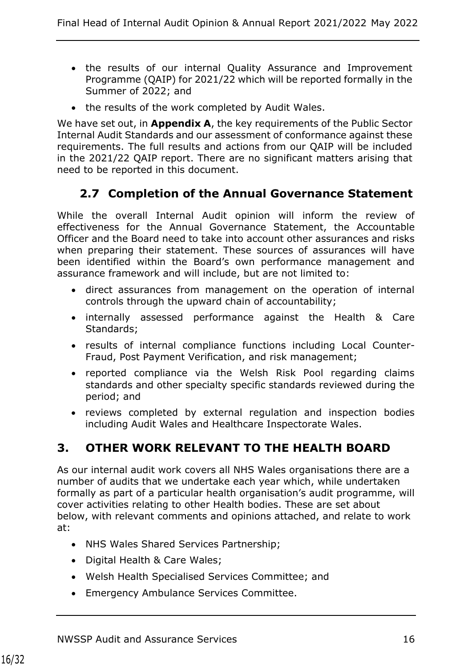- the results of our internal Quality Assurance and Improvement Programme (QAIP) for 2021/22 which will be reported formally in the Summer of 2022; and
- the results of the work completed by Audit Wales.

We have set out, in **Appendix A**, the key requirements of the Public Sector Internal Audit Standards and our assessment of conformance against these requirements. The full results and actions from our QAIP will be included in the 2021/22 QAIP report. There are no significant matters arising that need to be reported in this document.

## <span id="page-15-0"></span>**2.7 Completion of the Annual Governance Statement**

While the overall Internal Audit opinion will inform the review of effectiveness for the Annual Governance Statement, the Accountable Officer and the Board need to take into account other assurances and risks when preparing their statement. These sources of assurances will have been identified within the Board's own performance management and assurance framework and will include, but are not limited to:

- direct assurances from management on the operation of internal controls through the upward chain of accountability;
- internally assessed performance against the Health & Care Standards;
- results of internal compliance functions including Local Counter-Fraud, Post Payment Verification, and risk management;
- reported compliance via the Welsh Risk Pool regarding claims standards and other specialty specific standards reviewed during the period; and
- reviews completed by external regulation and inspection bodies including Audit Wales and Healthcare Inspectorate Wales.

## <span id="page-15-1"></span>**3. OTHER WORK RELEVANT TO THE HEALTH BOARD**

As our internal audit work covers all NHS Wales organisations there are a number of audits that we undertake each year which, while undertaken formally as part of a particular health organisation's audit programme, will cover activities relating to other Health bodies. These are set about below, with relevant comments and opinions attached, and relate to work at:

- NHS Wales Shared Services Partnership;
- Digital Health & Care Wales;
- Welsh Health Specialised Services Committee; and
- Emergency Ambulance Services Committee.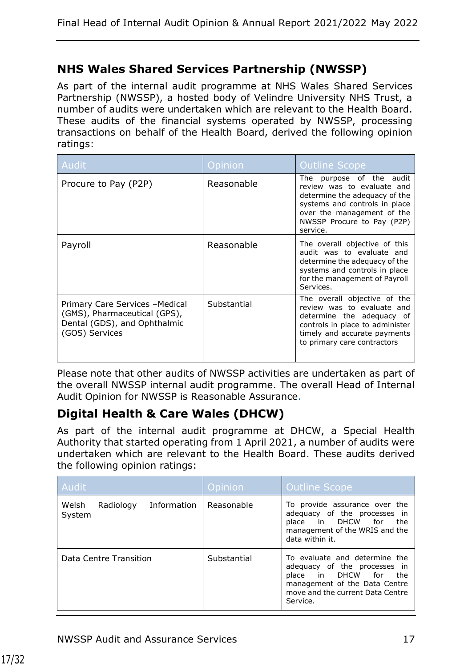#### **NHS Wales Shared Services Partnership (NWSSP)**

As part of the internal audit programme at NHS Wales Shared Services Partnership (NWSSP), a hosted body of Velindre University NHS Trust, a number of audits were undertaken which are relevant to the Health Board. These audits of the financial systems operated by NWSSP, processing transactions on behalf of the Health Board, derived the following opinion ratings:

| Audit                                                                                                             | Opinion     | <b>Outline Scope</b>                                                                                                                                                                                |
|-------------------------------------------------------------------------------------------------------------------|-------------|-----------------------------------------------------------------------------------------------------------------------------------------------------------------------------------------------------|
| Procure to Pay (P2P)                                                                                              | Reasonable  | purpose of the audit<br>The<br>review was to evaluate and<br>determine the adequacy of the<br>systems and controls in place<br>over the management of the<br>NWSSP Procure to Pay (P2P)<br>service. |
| Payroll                                                                                                           | Reasonable  | The overall objective of this<br>audit was to evaluate and<br>determine the adequacy of the<br>systems and controls in place<br>for the management of Payroll<br>Services.                          |
| Primary Care Services - Medical<br>(GMS), Pharmaceutical (GPS),<br>Dental (GDS), and Ophthalmic<br>(GOS) Services | Substantial | The overall objective of the<br>review was to evaluate and<br>determine the adequacy of<br>controls in place to administer<br>timely and accurate payments<br>to primary care contractors           |

Please note that other audits of NWSSP activities are undertaken as part of the overall NWSSP internal audit programme. The overall Head of Internal Audit Opinion for NWSSP is Reasonable Assurance.

## **Digital Health & Care Wales (DHCW)**

As part of the internal audit programme at DHCW, a Special Health Authority that started operating from 1 April 2021, a number of audits were undertaken which are relevant to the Health Board. These audits derived the following opinion ratings:

| Audit <sup>1</sup>                          | <b>Opinion</b> | Outline Scope                                                                                                                                                              |
|---------------------------------------------|----------------|----------------------------------------------------------------------------------------------------------------------------------------------------------------------------|
| Welsh<br>Information<br>Radiology<br>System | Reasonable     | To provide assurance over the<br>adequacy of the processes in<br>place in DHCW for<br>the<br>management of the WRIS and the<br>data within it.                             |
| Data Centre Transition                      | Substantial    | To evaluate and determine the<br>adequacy of the processes in<br>place in DHCW for<br>the<br>management of the Data Centre<br>move and the current Data Centre<br>Service. |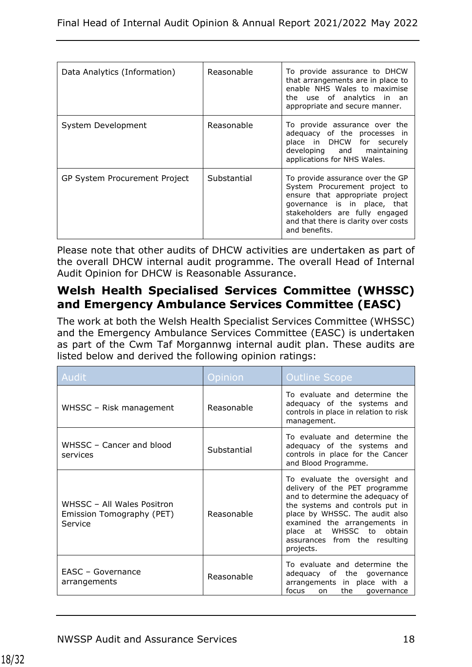| Data Analytics (Information)         | Reasonable  | To provide assurance to DHCW<br>that arrangements are in place to<br>enable NHS Wales to maximise<br>the use of analytics in an<br>appropriate and secure manner.                                                               |
|--------------------------------------|-------------|---------------------------------------------------------------------------------------------------------------------------------------------------------------------------------------------------------------------------------|
| System Development                   | Reasonable  | To provide assurance over the<br>adequacy of the processes in<br>place in DHCW for securely<br>developing and maintaining<br>applications for NHS Wales.                                                                        |
| <b>GP System Procurement Project</b> | Substantial | To provide assurance over the GP<br>System Procurement project to<br>ensure that appropriate project<br>governance is in place, that<br>stakeholders are fully engaged<br>and that there is clarity over costs<br>and benefits. |

Please note that other audits of DHCW activities are undertaken as part of the overall DHCW internal audit programme. The overall Head of Internal Audit Opinion for DHCW is Reasonable Assurance.

## **Welsh Health Specialised Services Committee (WHSSC) and Emergency Ambulance Services Committee (EASC)**

The work at both the Welsh Health Specialist Services Committee (WHSSC) and the Emergency Ambulance Services Committee (EASC) is undertaken as part of the Cwm Taf Morgannwg internal audit plan. These audits are listed below and derived the following opinion ratings:

| Audit                                                              | Opinion     | <b>Outline Scope</b>                                                                                                                                                                                                                                                                    |
|--------------------------------------------------------------------|-------------|-----------------------------------------------------------------------------------------------------------------------------------------------------------------------------------------------------------------------------------------------------------------------------------------|
| WHSSC - Risk management                                            | Reasonable  | To evaluate and determine the<br>adequacy of the systems and<br>controls in place in relation to risk<br>management.                                                                                                                                                                    |
| WHSSC - Cancer and blood<br>services                               | Substantial | To evaluate and determine the<br>adequacy of the systems and<br>controls in place for the Cancer<br>and Blood Programme.                                                                                                                                                                |
| WHSSC - All Wales Positron<br>Emission Tomography (PET)<br>Service | Reasonable  | To evaluate the oversight and<br>delivery of the PET programme<br>and to determine the adequacy of<br>the systems and controls put in<br>place by WHSSC. The audit also<br>examined the arrangements in<br>at WHSSC to<br>place<br>obtain<br>assurances from the resulting<br>projects. |
| EASC - Governance<br>arrangements                                  | Reasonable  | To evaluate and determine the<br>adequacy of the governance<br>arrangements in place with a<br>focus<br>the<br>on<br>governance                                                                                                                                                         |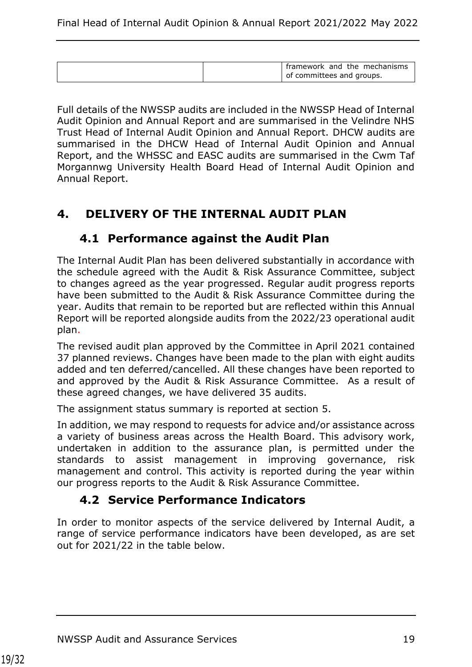| framework and the mechanisms |
|------------------------------|
| of committees and groups.    |

Full details of the NWSSP audits are included in the NWSSP Head of Internal Audit Opinion and Annual Report and are summarised in the Velindre NHS Trust Head of Internal Audit Opinion and Annual Report. DHCW audits are summarised in the DHCW Head of Internal Audit Opinion and Annual Report, and the WHSSC and EASC audits are summarised in the Cwm Taf Morgannwg University Health Board Head of Internal Audit Opinion and Annual Report.

### <span id="page-18-1"></span><span id="page-18-0"></span>**4. DELIVERY OF THE INTERNAL AUDIT PLAN**

#### **4.1 Performance against the Audit Plan**

The Internal Audit Plan has been delivered substantially in accordance with the schedule agreed with the Audit & Risk Assurance Committee, subject to changes agreed as the year progressed. Regular audit progress reports have been submitted to the Audit & Risk Assurance Committee during the year. Audits that remain to be reported but are reflected within this Annual Report will be reported alongside audits from the 2022/23 operational audit plan.

The revised audit plan approved by the Committee in April 2021 contained 37 planned reviews. Changes have been made to the plan with eight audits added and ten deferred/cancelled. All these changes have been reported to and approved by the Audit & Risk Assurance Committee. As a result of these agreed changes, we have delivered 35 audits.

The assignment status summary is reported at section 5.

In addition, we may respond to requests for advice and/or assistance across a variety of business areas across the Health Board. This advisory work, undertaken in addition to the assurance plan, is permitted under the standards to assist management in improving governance, risk management and control. This activity is reported during the year within our progress reports to the Audit & Risk Assurance Committee.

#### **4.2 Service Performance Indicators**

<span id="page-18-2"></span>In order to monitor aspects of the service delivered by Internal Audit, a range of service performance indicators have been developed, as are set out for 2021/22 in the table below.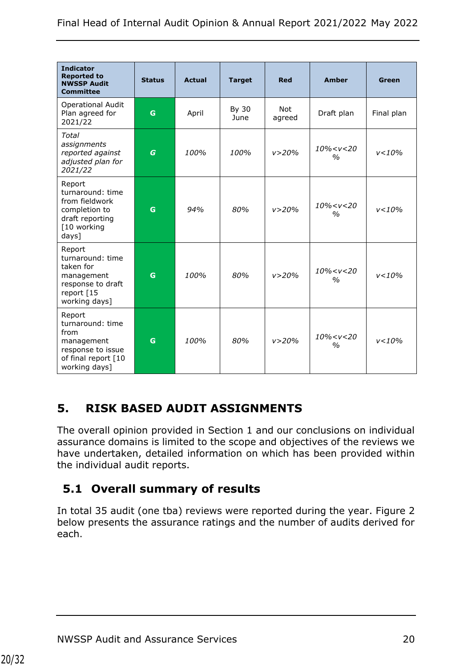| <b>Indicator</b><br><b>Reported to</b><br><b>NWSSP Audit</b><br><b>Committee</b>                              | <b>Status</b>    | <b>Actual</b> | <b>Target</b> | <b>Red</b>           | <b>Amber</b>                     | Green      |
|---------------------------------------------------------------------------------------------------------------|------------------|---------------|---------------|----------------------|----------------------------------|------------|
| <b>Operational Audit</b><br>Plan agreed for<br>2021/22                                                        | G                | April         | By 30<br>June | <b>Not</b><br>agreed | Draft plan                       | Final plan |
| <b>Total</b><br>assignments<br>reported against<br>adjusted plan for<br>2021/22                               | $\boldsymbol{G}$ | 100%          | 100%          | v > 20%              | $10\% < v < 20$<br>$\frac{0}{0}$ | v < 10%    |
| Report<br>turnaround: time<br>from fieldwork<br>completion to<br>draft reporting<br>[10 working<br>days]      | G                | 94%           | 80%           | v > 20%              | $10\% < v < 20$<br>$\frac{0}{0}$ | v < 10%    |
| Report<br>turnaround: time<br>taken for<br>management<br>response to draft<br>report [15<br>working days]     | G                | 100%          | 80%           | v > 20%              | $10\% < v < 20$<br>$\%$          | v < 10%    |
| Report<br>turnaround: time<br>from<br>management<br>response to issue<br>of final report [10<br>working days] | G                | 100%          | 80%           | v > 20%              | $10\% < v < 20$<br>$\frac{0}{0}$ | v < 10%    |

## <span id="page-19-0"></span>**5. RISK BASED AUDIT ASSIGNMENTS**

The overall opinion provided in Section 1 and our conclusions on individual assurance domains is limited to the scope and objectives of the reviews we have undertaken, detailed information on which has been provided within the individual audit reports.

## <span id="page-19-1"></span>**5.1 Overall summary of results**

In total 35 audit (one tba) reviews were reported during the year. Figure 2 below presents the assurance ratings and the number of audits derived for each.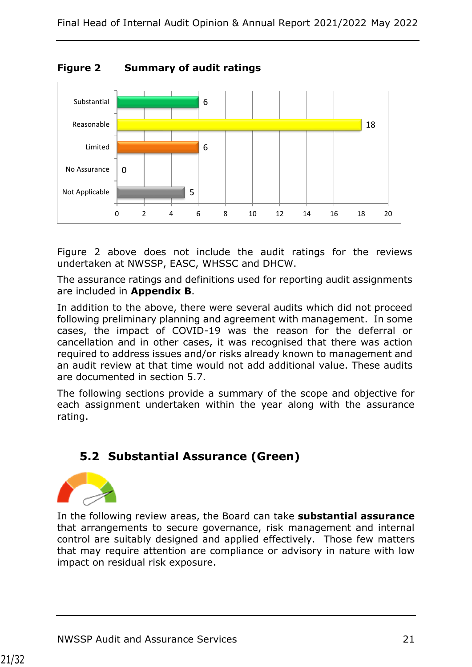

**Figure 2 Summary of audit ratings**

Figure 2 above does not include the audit ratings for the reviews undertaken at NWSSP, EASC, WHSSC and DHCW.

The assurance ratings and definitions used for reporting audit assignments are included in **Appendix B**.

In addition to the above, there were several audits which did not proceed following preliminary planning and agreement with management. In some cases, the impact of COVID-19 was the reason for the deferral or cancellation and in other cases, it was recognised that there was action required to address issues and/or risks already known to management and an audit review at that time would not add additional value. These audits are documented in section 5.7.

The following sections provide a summary of the scope and objective for each assignment undertaken within the year along with the assurance rating.

## <span id="page-20-0"></span>**5.2 Substantial Assurance (Green)**



In the following review areas, the Board can take **substantial assurance** that arrangements to secure governance, risk management and internal control are suitably designed and applied effectively. Those few matters that may require attention are compliance or advisory in nature with low impact on residual risk exposure.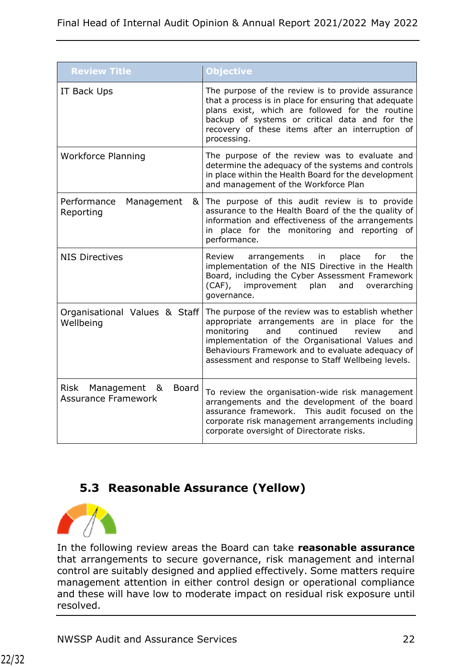| <b>Review Title</b>                                                       | Objective                                                                                                                                                                                                                                                                                                              |
|---------------------------------------------------------------------------|------------------------------------------------------------------------------------------------------------------------------------------------------------------------------------------------------------------------------------------------------------------------------------------------------------------------|
| IT Back Ups                                                               | The purpose of the review is to provide assurance<br>that a process is in place for ensuring that adequate<br>plans exist, which are followed for the routine<br>backup of systems or critical data and for the<br>recovery of these items after an interruption of<br>processing.                                     |
| <b>Workforce Planning</b>                                                 | The purpose of the review was to evaluate and<br>determine the adequacy of the systems and controls<br>in place within the Health Board for the development<br>and management of the Workforce Plan                                                                                                                    |
| Performance<br>Management<br>&<br>Reporting                               | The purpose of this audit review is to provide<br>assurance to the Health Board of the the quality of<br>information and effectiveness of the arrangements<br>in place for the monitoring and reporting<br>0f<br>performance.                                                                                          |
| <b>NIS Directives</b>                                                     | the<br>Review<br>arrangements<br>in<br>place<br>for<br>implementation of the NIS Directive in the Health<br>Board, including the Cyber Assessment Framework<br>improvement<br>$(CAF)$ ,<br>plan<br>and<br>overarching<br>governance.                                                                                   |
| Organisational Values & Staff<br>Wellbeing                                | The purpose of the review was to establish whether<br>appropriate arrangements are in<br>place for the<br>continued<br>monitoring<br>and<br>review<br>and<br>implementation of the Organisational Values and<br>Behaviours Framework and to evaluate adequacy of<br>assessment and response to Staff Wellbeing levels. |
| <b>Board</b><br><b>Risk</b><br>Management &<br><b>Assurance Framework</b> | To review the organisation-wide risk management<br>arrangements and the development of the board<br>assurance framework. This audit focused on the<br>corporate risk management arrangements including<br>corporate oversight of Directorate risks.                                                                    |

## <span id="page-21-0"></span>**5.3 Reasonable Assurance (Yellow)**



In the following review areas the Board can take **reasonable assurance**  that arrangements to secure governance, risk management and internal control are suitably designed and applied effectively. Some matters require management attention in either control design or operational compliance and these will have low to moderate impact on residual risk exposure until resolved.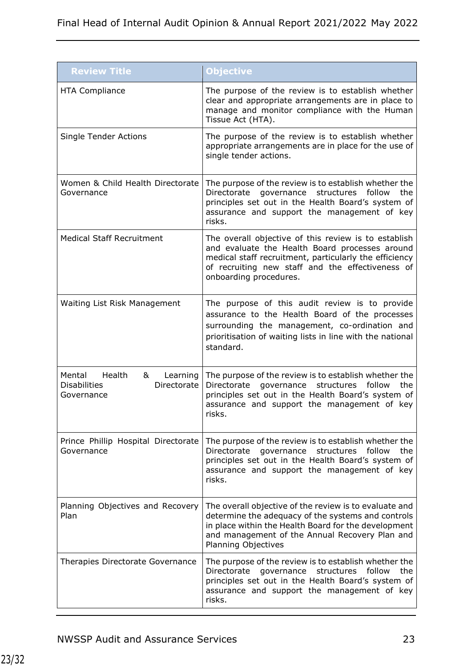| <b>Review Title</b>                                                                   | Objective                                                                                                                                                                                                                                            |
|---------------------------------------------------------------------------------------|------------------------------------------------------------------------------------------------------------------------------------------------------------------------------------------------------------------------------------------------------|
| <b>HTA Compliance</b>                                                                 | The purpose of the review is to establish whether<br>clear and appropriate arrangements are in place to<br>manage and monitor compliance with the Human<br>Tissue Act (HTA).                                                                         |
| <b>Single Tender Actions</b>                                                          | The purpose of the review is to establish whether<br>appropriate arrangements are in place for the use of<br>single tender actions.                                                                                                                  |
| Women & Child Health Directorate<br>Governance                                        | The purpose of the review is to establish whether the<br>Directorate<br>governance<br>structures<br>follow<br>the<br>principles set out in the Health Board's system of<br>assurance and support the management of key<br>risks.                     |
| <b>Medical Staff Recruitment</b>                                                      | The overall objective of this review is to establish<br>and evaluate the Health Board processes around<br>medical staff recruitment, particularly the efficiency<br>of recruiting new staff and the effectiveness of<br>onboarding procedures.       |
| Waiting List Risk Management                                                          | The purpose of this audit review is to provide<br>assurance to the Health Board of the processes<br>surrounding the management, co-ordination and<br>prioritisation of waiting lists in line with the national<br>standard.                          |
| Mental<br>Health<br>&<br>Learning<br>Directorate<br><b>Disabilities</b><br>Governance | The purpose of the review is to establish whether the<br>Directorate governance<br>structures<br>follow<br>the<br>principles set out in the Health Board's system of<br>assurance and support the management of key<br>risks.                        |
| Prince Phillip Hospital Directorate<br>Governance                                     | The purpose of the review is to establish whether the<br>Directorate governance<br>structures<br>the<br>follow<br>principles set out in the Health Board's system of<br>assurance and support the management of key<br>risks.                        |
| Planning Objectives and Recovery<br>Plan                                              | The overall objective of the review is to evaluate and<br>determine the adequacy of the systems and controls<br>in place within the Health Board for the development<br>and management of the Annual Recovery Plan and<br><b>Planning Objectives</b> |
| Therapies Directorate Governance                                                      | The purpose of the review is to establish whether the<br>follow<br>Directorate<br>structures<br>the<br>governance<br>principles set out in the Health Board's system of<br>assurance and support the management of key<br>risks.                     |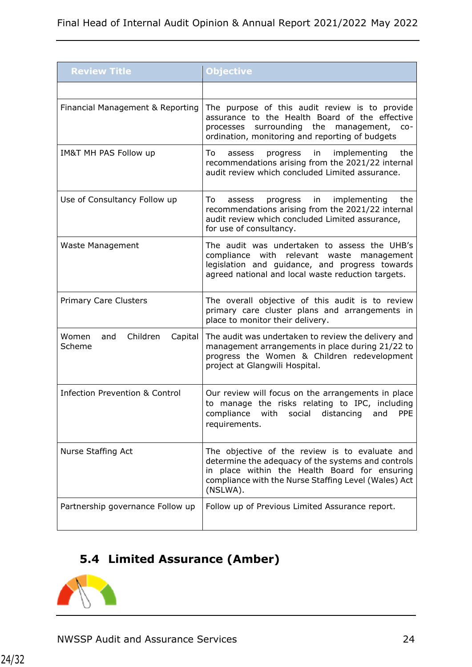| <b>Review Title</b>                           | Objective                                                                                                                                                                                                                 |
|-----------------------------------------------|---------------------------------------------------------------------------------------------------------------------------------------------------------------------------------------------------------------------------|
|                                               |                                                                                                                                                                                                                           |
| Financial Management & Reporting              | The purpose of this audit review is to provide<br>assurance to the Health Board of the effective<br>surrounding the<br>processes<br>management, co-<br>ordination, monitoring and reporting of budgets                    |
| IM&T MH PAS Follow up                         | To<br>in<br>implementing<br>progress<br>the<br>assess<br>recommendations arising from the 2021/22 internal<br>audit review which concluded Limited assurance.                                                             |
| Use of Consultancy Follow up                  | implementing<br>To:<br>progress<br>in<br>the<br>assess<br>recommendations arising from the 2021/22 internal<br>audit review which concluded Limited assurance,<br>for use of consultancy.                                 |
| Waste Management                              | The audit was undertaken to assess the UHB's<br>compliance with relevant waste<br>management<br>legislation and guidance, and progress towards<br>agreed national and local waste reduction targets.                      |
| <b>Primary Care Clusters</b>                  | The overall objective of this audit is to review<br>primary care cluster plans and arrangements in<br>place to monitor their delivery.                                                                                    |
| Women<br>Children<br>Capital<br>and<br>Scheme | The audit was undertaken to review the delivery and<br>management arrangements in place during 21/22 to<br>progress the Women & Children redevelopment<br>project at Glangwili Hospital.                                  |
| <b>Infection Prevention &amp; Control</b>     | Our review will focus on the arrangements in place<br>to manage the risks relating to IPC, including<br>compliance with social distancing and PPE<br>requirements.                                                        |
| Nurse Staffing Act                            | The objective of the review is to evaluate and<br>determine the adequacy of the systems and controls<br>in place within the Health Board for ensuring<br>compliance with the Nurse Staffing Level (Wales) Act<br>(NSLWA). |
| Partnership governance Follow up              | Follow up of Previous Limited Assurance report.                                                                                                                                                                           |

# <span id="page-23-0"></span>**5.4 Limited Assurance (Amber)**

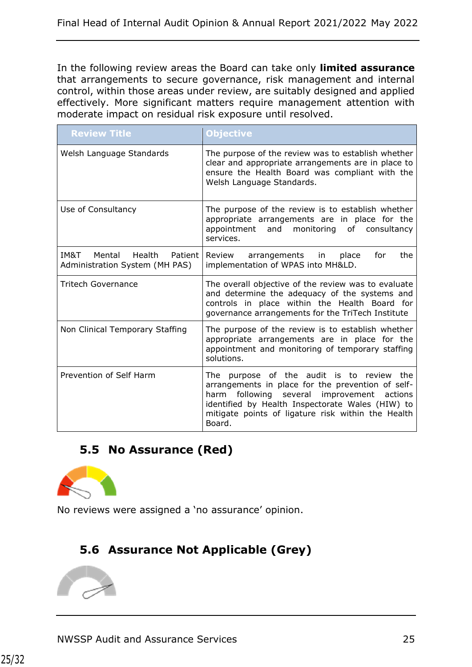In the following review areas the Board can take only **limited assurance**  that arrangements to secure governance, risk management and internal control, within those areas under review, are suitably designed and applied effectively. More significant matters require management attention with moderate impact on residual risk exposure until resolved.

<span id="page-24-0"></span>

| <b>Review Title</b>                                                   | <b>Objective</b>                                                                                                                                                                                                                                                          |
|-----------------------------------------------------------------------|---------------------------------------------------------------------------------------------------------------------------------------------------------------------------------------------------------------------------------------------------------------------------|
| Welsh Language Standards                                              | The purpose of the review was to establish whether<br>clear and appropriate arrangements are in place to<br>ensure the Health Board was compliant with the<br>Welsh Language Standards.                                                                                   |
| Use of Consultancy                                                    | The purpose of the review is to establish whether<br>appropriate arrangements are in place for the<br>and monitoring<br>appointment<br>of consultancy<br>services.                                                                                                        |
| IM&T<br>Mental<br>Health<br>Patient<br>Administration System (MH PAS) | Review<br>arrangements in<br>place<br>for<br>the<br>implementation of WPAS into MH&LD.                                                                                                                                                                                    |
| <b>Tritech Governance</b>                                             | The overall objective of the review was to evaluate<br>and determine the adequacy of the systems and<br>controls in place within the Health Board for<br>governance arrangements for the TriTech Institute                                                                |
| Non Clinical Temporary Staffing                                       | The purpose of the review is to establish whether<br>appropriate arrangements are in place for the<br>appointment and monitoring of temporary staffing<br>solutions.                                                                                                      |
| Prevention of Self Harm                                               | The purpose of the audit is to review the<br>arrangements in place for the prevention of self-<br>following several<br>improvement<br>harm<br>actions<br>identified by Health Inspectorate Wales (HIW) to<br>mitigate points of ligature risk within the Health<br>Board. |

## **5.5 No Assurance (Red)**



No reviews were assigned a 'no assurance' opinion.

## <span id="page-24-1"></span>**5.6 Assurance Not Applicable (Grey)**

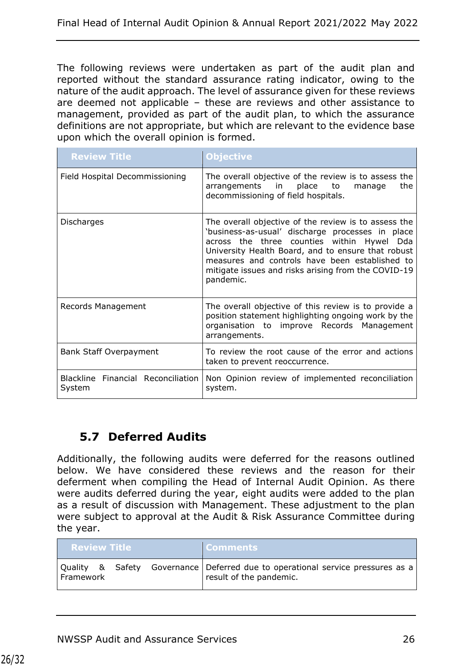The following reviews were undertaken as part of the audit plan and reported without the standard assurance rating indicator, owing to the nature of the audit approach. The level of assurance given for these reviews are deemed not applicable – these are reviews and other assistance to management, provided as part of the audit plan, to which the assurance definitions are not appropriate, but which are relevant to the evidence base upon which the overall opinion is formed.

| <b>Review Title</b>                          | <b>Objective</b>                                                                                                                                                                                                                                                                                                                   |
|----------------------------------------------|------------------------------------------------------------------------------------------------------------------------------------------------------------------------------------------------------------------------------------------------------------------------------------------------------------------------------------|
| Field Hospital Decommissioning               | The overall objective of the review is to assess the<br>arrangements in<br>place<br>to<br>the<br>manage<br>decommissioning of field hospitals.                                                                                                                                                                                     |
| Discharges                                   | The overall objective of the review is to assess the<br>'business-as-usual' discharge processes in place<br>across the three counties within Hywel Dda<br>University Health Board, and to ensure that robust<br>measures and controls have been established to<br>mitigate issues and risks arising from the COVID-19<br>pandemic. |
| Records Management                           | The overall objective of this review is to provide a<br>position statement highlighting ongoing work by the<br>organisation to improve Records Management<br>arrangements.                                                                                                                                                         |
| Bank Staff Overpayment                       | To review the root cause of the error and actions<br>taken to prevent reoccurrence.                                                                                                                                                                                                                                                |
| Blackline Financial Reconciliation<br>System | Non Opinion review of implemented reconciliation<br>system.                                                                                                                                                                                                                                                                        |

## **5.7 Deferred Audits**

Additionally, the following audits were deferred for the reasons outlined below. We have considered these reviews and the reason for their deferment when compiling the Head of Internal Audit Opinion. As there were audits deferred during the year, eight audits were added to the plan as a result of discussion with Management. These adjustment to the plan were subject to approval at the Audit & Risk Assurance Committee during the year.

| Review Title | <b>Comments</b>                                                                                             |
|--------------|-------------------------------------------------------------------------------------------------------------|
| Framework    | Quality & Safety Governance   Deferred due to operational service pressures as a<br>result of the pandemic. |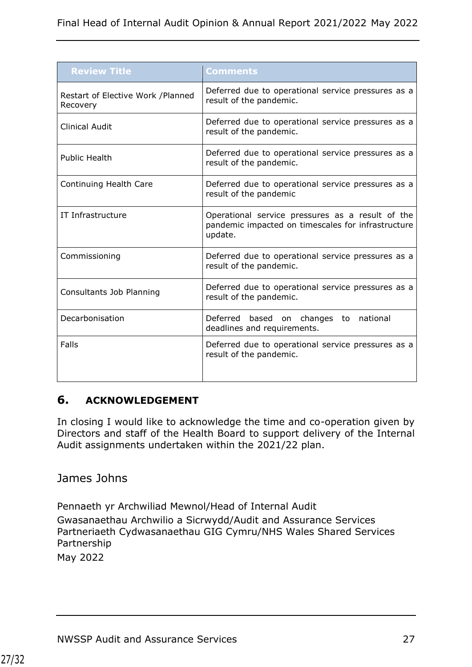| <b>Review Title</b>                            | Comments                                                                                                          |
|------------------------------------------------|-------------------------------------------------------------------------------------------------------------------|
| Restart of Elective Work / Planned<br>Recovery | Deferred due to operational service pressures as a<br>result of the pandemic.                                     |
| <b>Clinical Audit</b>                          | Deferred due to operational service pressures as a<br>result of the pandemic.                                     |
| <b>Public Health</b>                           | Deferred due to operational service pressures as a<br>result of the pandemic.                                     |
| Continuing Health Care                         | Deferred due to operational service pressures as a<br>result of the pandemic                                      |
| IT Infrastructure                              | Operational service pressures as a result of the<br>pandemic impacted on timescales for infrastructure<br>update. |
| Commissioning                                  | Deferred due to operational service pressures as a<br>result of the pandemic.                                     |
| Consultants Job Planning                       | Deferred due to operational service pressures as a<br>result of the pandemic.                                     |
| Decarbonisation                                | Deferred based on changes to national<br>deadlines and requirements.                                              |
| Falls                                          | Deferred due to operational service pressures as a<br>result of the pandemic.                                     |

#### <span id="page-26-0"></span>**6. ACKNOWLEDGEMENT**

In closing I would like to acknowledge the time and co-operation given by Directors and staff of the Health Board to support delivery of the Internal Audit assignments undertaken within the 2021/22 plan.

#### James Johns

Pennaeth yr Archwiliad Mewnol/Head of Internal Audit Gwasanaethau Archwilio a Sicrwydd/Audit and Assurance Services Partneriaeth Cydwasanaethau GIG Cymru/NHS Wales Shared Services Partnership May 2022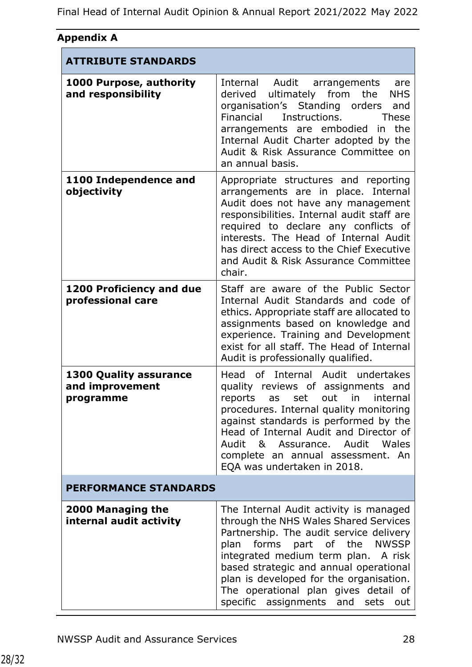| Appendix A                                                    |                                                                                                                                                                                                                                                                                                                                                                        |
|---------------------------------------------------------------|------------------------------------------------------------------------------------------------------------------------------------------------------------------------------------------------------------------------------------------------------------------------------------------------------------------------------------------------------------------------|
| <b>ATTRIBUTE STANDARDS</b>                                    |                                                                                                                                                                                                                                                                                                                                                                        |
| 1000 Purpose, authority<br>and responsibility                 | Internal Audit arrangements<br>are<br>derived ultimately from<br>the<br><b>NHS</b><br>organisation's Standing orders<br>and<br>Financial<br>Instructions.<br><b>These</b><br>arrangements are embodied<br>the<br>in<br>Internal Audit Charter adopted by the<br>Audit & Risk Assurance Committee on<br>an annual basis.                                                |
| 1100 Independence and<br>objectivity                          | Appropriate structures and reporting<br>arrangements are in place. Internal<br>Audit does not have any management<br>responsibilities. Internal audit staff are<br>required to declare any conflicts of<br>interests. The Head of Internal Audit<br>has direct access to the Chief Executive<br>and Audit & Risk Assurance Committee<br>chair.                         |
| <b>1200 Proficiency and due</b><br>professional care          | Staff are aware of the Public Sector<br>Internal Audit Standards and code of<br>ethics. Appropriate staff are allocated to<br>assignments based on knowledge and<br>experience. Training and Development<br>exist for all staff. The Head of Internal<br>Audit is professionally qualified.                                                                            |
| <b>1300 Quality assurance</b><br>and improvement<br>programme | Head of Internal Audit undertakes<br>quality reviews of assignments and<br>reports as set out in<br>internal<br>procedures. Internal quality monitoring<br>against standards is performed by the<br>Head of Internal Audit and Director of<br>Audit & Assurance. Audit Wales<br>complete an annual assessment. An<br>EQA was undertaken in 2018.                       |
| <b>PERFORMANCE STANDARDS</b>                                  |                                                                                                                                                                                                                                                                                                                                                                        |
| 2000 Managing the<br>internal audit activity                  | The Internal Audit activity is managed<br>through the NHS Wales Shared Services<br>Partnership. The audit service delivery<br>plan forms part of the NWSSP<br>integrated medium term plan. A risk<br>based strategic and annual operational<br>plan is developed for the organisation.<br>The operational plan gives detail of<br>specific assignments and sets<br>out |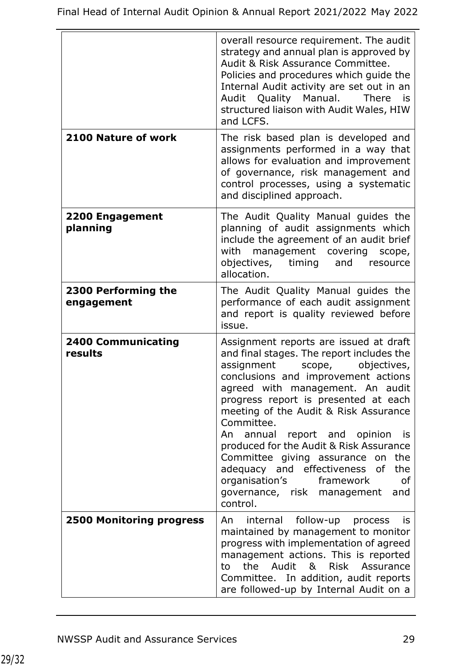|                                      | overall resource requirement. The audit<br>strategy and annual plan is approved by<br>Audit & Risk Assurance Committee.<br>Policies and procedures which quide the<br>Internal Audit activity are set out in an<br>Audit Quality Manual.<br><b>There</b><br>is<br>structured liaison with Audit Wales, HIW<br>and LCFS.                                                                                                                                                                                                                                   |
|--------------------------------------|-----------------------------------------------------------------------------------------------------------------------------------------------------------------------------------------------------------------------------------------------------------------------------------------------------------------------------------------------------------------------------------------------------------------------------------------------------------------------------------------------------------------------------------------------------------|
| 2100 Nature of work                  | The risk based plan is developed and<br>assignments performed in a way that<br>allows for evaluation and improvement<br>of governance, risk management and<br>control processes, using a systematic<br>and disciplined approach.                                                                                                                                                                                                                                                                                                                          |
| <b>2200 Engagement</b><br>planning   | The Audit Quality Manual guides the<br>planning of audit assignments which<br>include the agreement of an audit brief<br>with management covering<br>scope,<br>objectives, timing<br>and resource<br>allocation.                                                                                                                                                                                                                                                                                                                                          |
| 2300 Performing the<br>engagement    | The Audit Quality Manual guides the<br>performance of each audit assignment<br>and report is quality reviewed before<br>issue.                                                                                                                                                                                                                                                                                                                                                                                                                            |
| <b>2400 Communicating</b><br>results | Assignment reports are issued at draft<br>and final stages. The report includes the<br>objectives,<br>assignment scope,<br>conclusions and improvement actions<br>agreed with management. An audit<br>progress report is presented at each<br>meeting of the Audit & Risk Assurance<br>Committee.<br>An annual report and opinion<br>is is<br>produced for the Audit & Risk Assurance<br>Committee giving assurance on the<br>adequacy and effectiveness of<br>the<br>organisation's<br>framework<br>0f<br>governance, risk management<br>and<br>control. |
| <b>2500 Monitoring progress</b>      | internal follow-up process<br>An<br>is<br>maintained by management to monitor<br>progress with implementation of agreed<br>management actions. This is reported<br>the Audit & Risk Assurance<br>to<br>Committee. In addition, audit reports<br>are followed-up by Internal Audit on a                                                                                                                                                                                                                                                                    |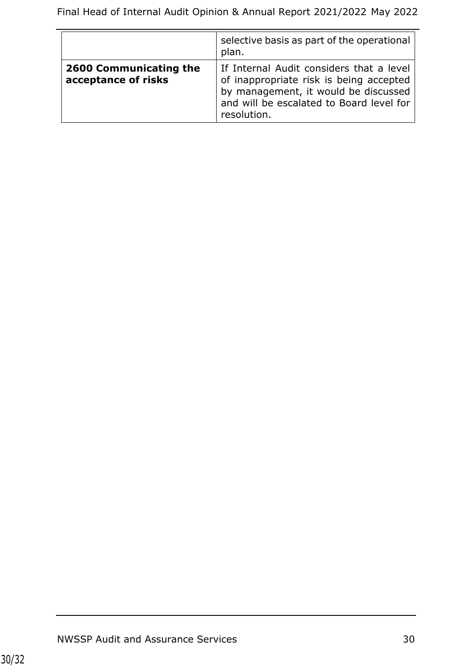|                                               | selective basis as part of the operational<br>plan.                                                                                                                                    |
|-----------------------------------------------|----------------------------------------------------------------------------------------------------------------------------------------------------------------------------------------|
| 2600 Communicating the<br>acceptance of risks | If Internal Audit considers that a level<br>of inappropriate risk is being accepted<br>by management, it would be discussed<br>and will be escalated to Board level for<br>resolution. |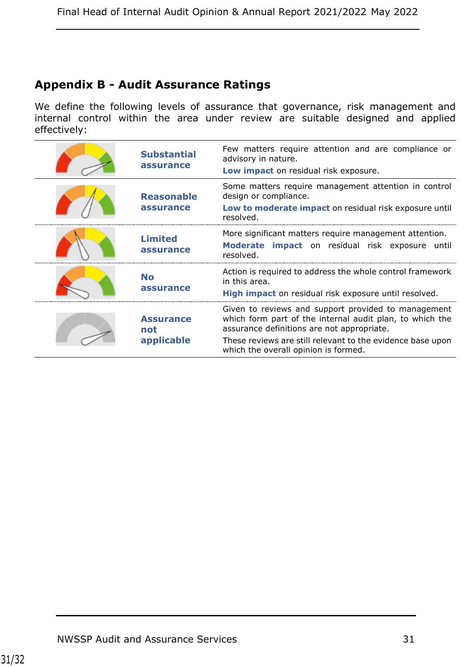# **Appendix B - Audit Assurance Ratings**

We define the following levels of assurance that governance, risk management and internal control within the area under review are suitable designed and applied effectively:

| <b>Substantial</b><br>assurance       | Few matters require attention and are compliance or<br>advisory in nature.<br>Low impact on residual risk exposure.                                                                                                                                                 |
|---------------------------------------|---------------------------------------------------------------------------------------------------------------------------------------------------------------------------------------------------------------------------------------------------------------------|
| <b>Reasonable</b><br>assurance        | Some matters require management attention in control<br>design or compliance.<br>Low to moderate impact on residual risk exposure until<br>resolved.                                                                                                                |
| <b>Limited</b><br>assurance           | More significant matters require management attention.<br>Moderate impact on residual risk exposure until<br>resolved.                                                                                                                                              |
| <b>No</b><br>assurance                | Action is required to address the whole control framework<br>in this area.<br>High impact on residual risk exposure until resolved.                                                                                                                                 |
| <b>Assurance</b><br>not<br>applicable | Given to reviews and support provided to management<br>which form part of the internal audit plan, to which the<br>assurance definitions are not appropriate.<br>These reviews are still relevant to the evidence base upon<br>which the overall opinion is formed. |